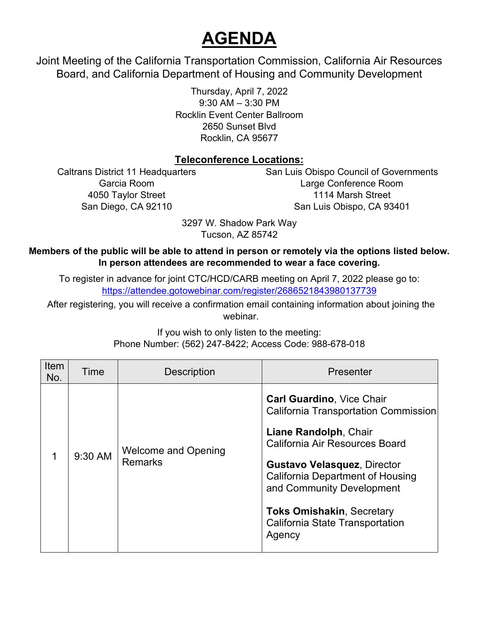## **AGENDA**

 Joint Meeting of the California Transportation Commission, California Air Resources Board, and California Department of Housing and Community Development

> 9:30 AM – 3:30 PM Thursday, April 7, 2022 Rocklin Event Center Ballroom 2650 Sunset Blvd Rocklin, CA 95677

## **Teleconference Locations:**

Caltrans District 11 Headquarters San Luis Obispo Council of Governments Garcia Room Large Conference Room 4050 Taylor Street 1114 Marsh Street San Diego, CA 92110 San Luis Obispo, CA 93401

> Tucson, AZ 85742 3297 W. Shadow Park Way

## **Members of the public will be able to attend in person or remotely via the options listed below. In person attendees are recommended to wear a face covering.**

https://attendee.gotowebinar.com/register/2686521843980137739 To register in advance for joint CTC/HCD/CARB meeting on April 7, 2022 please go to:

After registering, you will receive a confirmation email containing information about joining the webinar.

| <b>Item</b><br>No. | Time    | <b>Description</b>                           | Presenter                                                                                                                                                                                                                                                                                                                          |
|--------------------|---------|----------------------------------------------|------------------------------------------------------------------------------------------------------------------------------------------------------------------------------------------------------------------------------------------------------------------------------------------------------------------------------------|
|                    | 9:30 AM | <b>Welcome and Opening</b><br><b>Remarks</b> | <b>Carl Guardino, Vice Chair</b><br>California Transportation Commission<br>Liane Randolph, Chair<br>California Air Resources Board<br><b>Gustavo Velasquez, Director</b><br><b>California Department of Housing</b><br>and Community Development<br><b>Toks Omishakin, Secretary</b><br>California State Transportation<br>Agency |

If you wish to only listen to the meeting: Phone Number: (562) 247-8422; Access Code: 988-678-018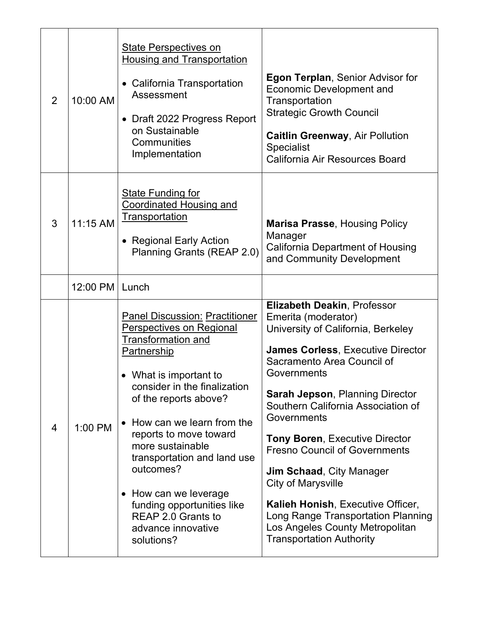| 2 | 10:00 AM   | <b>State Perspectives on</b><br><b>Housing and Transportation</b><br>• California Transportation<br>Assessment<br>• Draft 2022 Progress Report<br>on Sustainable<br>Communities<br>Implementation                                                                                                                                                                                                                                                 | <b>Egon Terplan, Senior Advisor for</b><br><b>Economic Development and</b><br>Transportation<br><b>Strategic Growth Council</b><br><b>Caitlin Greenway, Air Pollution</b><br><b>Specialist</b><br>California Air Resources Board                                                                                                                                                                                                                                                                                                                                                          |
|---|------------|---------------------------------------------------------------------------------------------------------------------------------------------------------------------------------------------------------------------------------------------------------------------------------------------------------------------------------------------------------------------------------------------------------------------------------------------------|-------------------------------------------------------------------------------------------------------------------------------------------------------------------------------------------------------------------------------------------------------------------------------------------------------------------------------------------------------------------------------------------------------------------------------------------------------------------------------------------------------------------------------------------------------------------------------------------|
| 3 | $11:15$ AM | <b>State Funding for</b><br><b>Coordinated Housing and</b><br>Transportation<br>• Regional Early Action<br>Planning Grants (REAP 2.0)                                                                                                                                                                                                                                                                                                             | <b>Marisa Prasse, Housing Policy</b><br>Manager<br><b>California Department of Housing</b><br>and Community Development                                                                                                                                                                                                                                                                                                                                                                                                                                                                   |
|   | 12:00 PM   | Lunch                                                                                                                                                                                                                                                                                                                                                                                                                                             |                                                                                                                                                                                                                                                                                                                                                                                                                                                                                                                                                                                           |
| 4 | 1:00 PM    | <b>Panel Discussion: Practitioner</b><br><b>Perspectives on Regional</b><br><b>Transformation and</b><br>Partnership<br>• What is important to<br>consider in the finalization<br>of the reports above?<br>• How can we learn from the<br>reports to move toward<br>more sustainable<br>transportation and land use<br>outcomes?<br>• How can we leverage<br>funding opportunities like<br>REAP 2.0 Grants to<br>advance innovative<br>solutions? | <b>Elizabeth Deakin, Professor</b><br>Emerita (moderator)<br>University of California, Berkeley<br><b>James Corless, Executive Director</b><br>Sacramento Area Council of<br>Governments<br><b>Sarah Jepson, Planning Director</b><br>Southern California Association of<br>Governments<br><b>Tony Boren, Executive Director</b><br><b>Fresno Council of Governments</b><br><b>Jim Schaad, City Manager</b><br><b>City of Marysville</b><br>Kalieh Honish, Executive Officer,<br>Long Range Transportation Planning<br>Los Angeles County Metropolitan<br><b>Transportation Authority</b> |